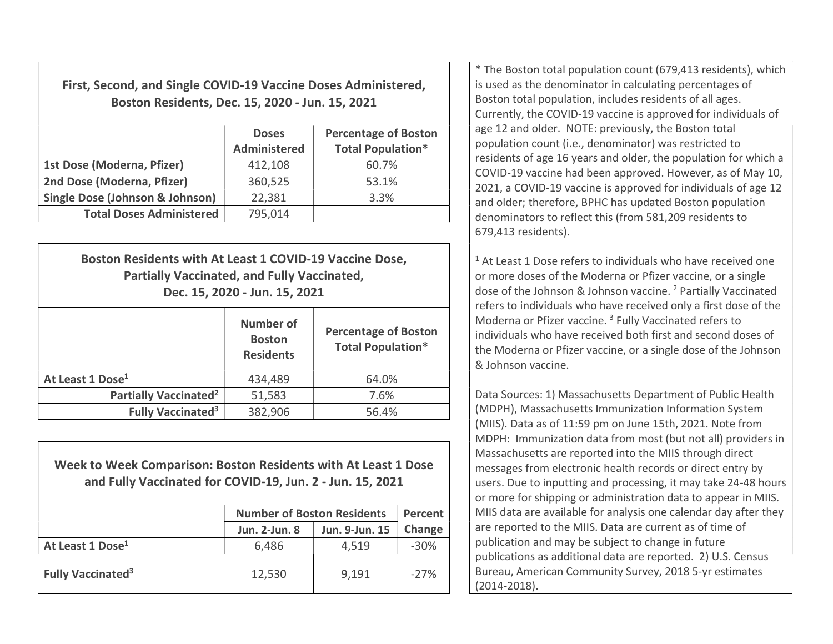First, Second, and Single COVID-19 Vaccine Doses Administered, Boston Residents, Dec. 15, 2020 - Jun. 15, 2021

|                                            | <b>Doses</b><br><b>Administered</b> | <b>Percentage of Boston</b><br><b>Total Population*</b> |
|--------------------------------------------|-------------------------------------|---------------------------------------------------------|
| 1st Dose (Moderna, Pfizer)                 | 412,108                             | 60.7%                                                   |
| 2nd Dose (Moderna, Pfizer)                 | 360,525                             | 53.1%                                                   |
| <b>Single Dose (Johnson &amp; Johnson)</b> | 22,381                              | 3.3%                                                    |
| <b>Total Doses Administered</b>            | 795,014                             |                                                         |

| Boston Residents with At Least 1 COVID-19 Vaccine Dose,<br><b>Partially Vaccinated, and Fully Vaccinated,</b><br>Dec. 15, 2020 - Jun. 15, 2021 |                                                       |                                                         |  |  |
|------------------------------------------------------------------------------------------------------------------------------------------------|-------------------------------------------------------|---------------------------------------------------------|--|--|
|                                                                                                                                                | <b>Number of</b><br><b>Boston</b><br><b>Residents</b> | <b>Percentage of Boston</b><br><b>Total Population*</b> |  |  |
| At Least 1 Dose <sup>1</sup>                                                                                                                   | 434,489                                               | 64.0%                                                   |  |  |
| Partially Vaccinated <sup>2</sup>                                                                                                              | 51,583                                                | 7.6%                                                    |  |  |
| Fully Vaccinated <sup>3</sup>                                                                                                                  | 382,906                                               | 56.4%                                                   |  |  |

Week to Week Comparison: Boston Residents with At Least 1 Dose and Fully Vaccinated for COVID-19, Jun. 2 - Jun. 15, 2021

|                                     | <b>Number of Boston Residents</b> | <b>Percent</b> |        |
|-------------------------------------|-----------------------------------|----------------|--------|
|                                     | <b>Jun. 2-Jun. 8</b>              | Jun. 9-Jun. 15 | Change |
| At Least 1 Dose <sup>1</sup>        | 6,486                             | 4,519          | $-30%$ |
| <b>Fully Vaccinated<sup>3</sup></b> | 12,530                            | 9,191          | $-27%$ |

\* The Boston total population count (679,413 residents), which is used as the denominator in calculating percentages of Boston total population, includes residents of all ages. Currently, the COVID-19 vaccine is approved for individuals of age 12 and older. NOTE: previously, the Boston total population count (i.e., denominator) was restricted to residents of age 16 years and older, the population for which a COVID-19 vaccine had been approved. However, as of May 10, 2021, a COVID-19 vaccine is approved for individuals of age 12 and older; therefore, BPHC has updated Boston population denominators to reflect this (from 581,209 residents to 679,413 residents).

<sup>1</sup> At Least 1 Dose refers to individuals who have received one or more doses of the Moderna or Pfizer vaccine, or a single dose of the Johnson & Johnson vaccine.<sup>2</sup> Partially Vaccinated refers to individuals who have received only a first dose of the Moderna or Pfizer vaccine.<sup>3</sup> Fully Vaccinated refers to individuals who have received both first and second doses of the Moderna or Pfizer vaccine, or a single dose of the Johnson & Johnson vaccine.

Data Sources: 1) Massachusetts Department of Public Health (MDPH), Massachusetts Immunization Information System (MIIS). Data as of 11:59 pm on June 15th, 2021. Note from MDPH: Immunization data from most (but not all) providers in Massachusetts are reported into the MIIS through direct messages from electronic health records or direct entry by users. Due to inputting and processing, it may take 24-48 hours or more for shipping or administration data to appear in MIIS. MIIS data are available for analysis one calendar day after they are reported to the MIIS. Data are current as of time of publication and may be subject to change in future publications as additional data are reported. 2) U.S. Census Bureau, American Community Survey, 2018 5-yr estimates (2014-2018).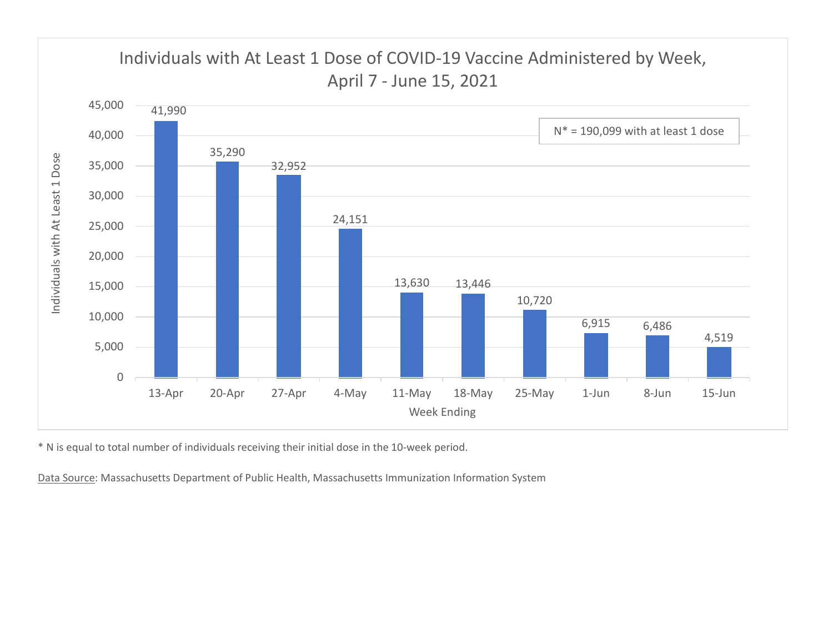

\* N is equal to total number of individuals receiving their initial dose in the 10-week period.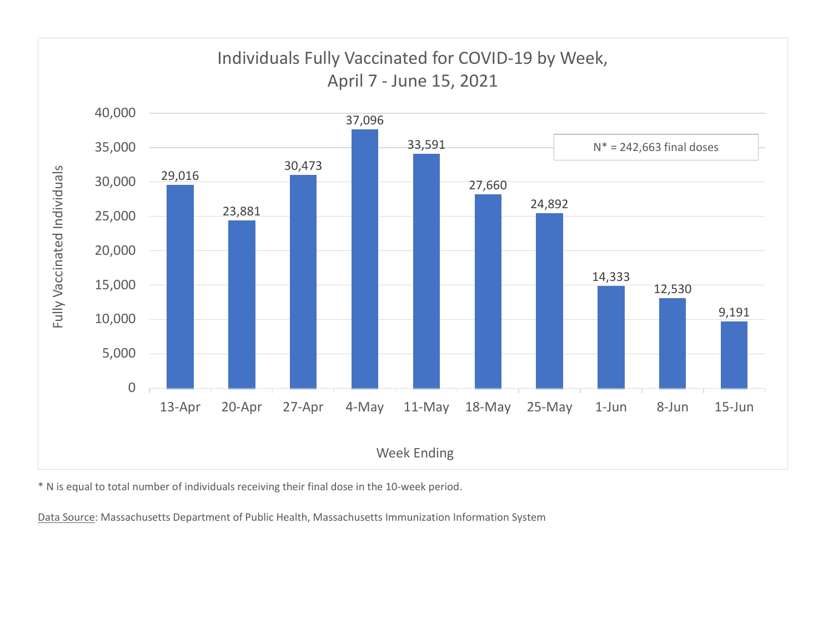

\* N is equal to total number of individuals receiving their final dose in the 10-week period.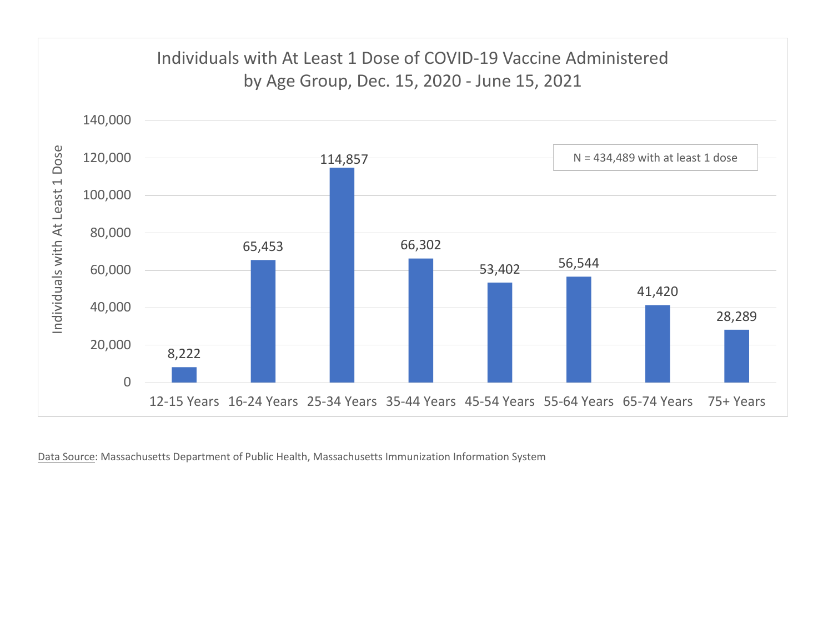

Data Source: Massachusetts Department of Public Health, Massachusetts Immunization Information System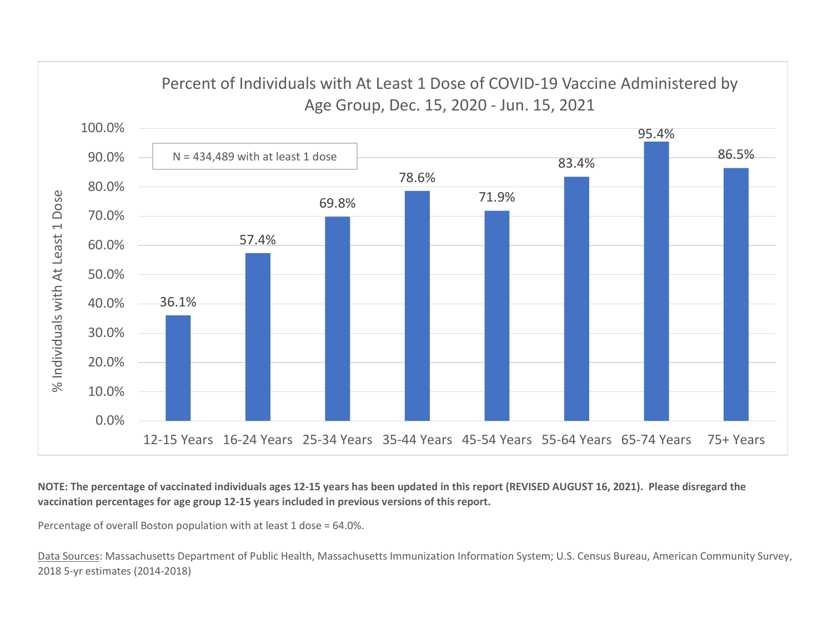

NOTE: The percentage of vaccinated individuals ages 12-15 years has been updated in this report (REVISED AUGUST 16, 2021). Please disregard the vaccination percentages for age group 12-15 years included in previous versions of this report.

Percentage of overall Boston population with at least 1 dose = 64.0%.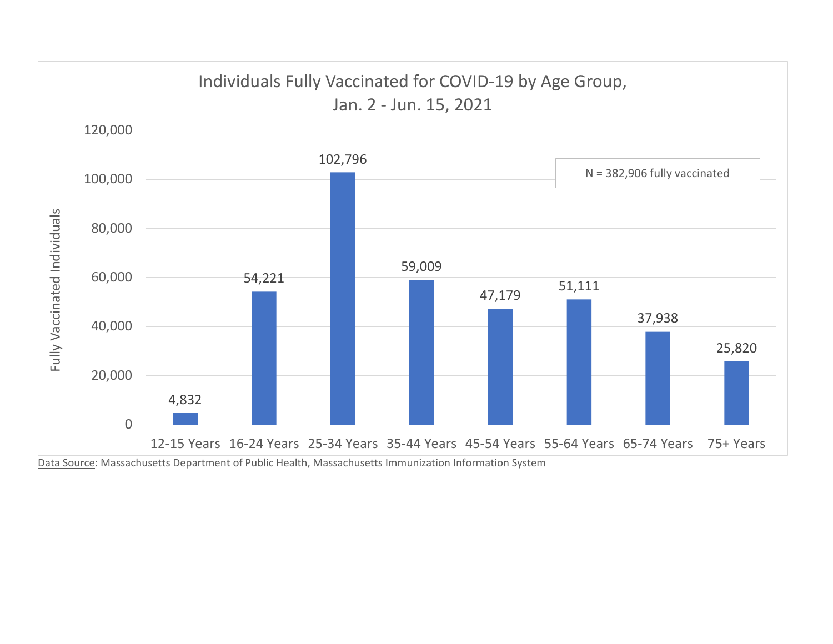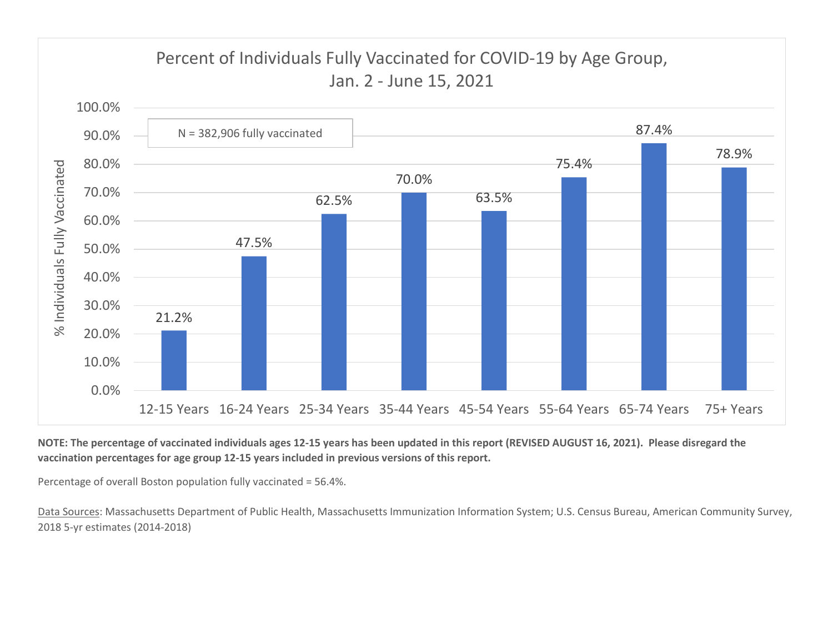

NOTE: The percentage of vaccinated individuals ages 12-15 years has been updated in this report (REVISED AUGUST 16, 2021). Please disregard the vaccination percentages for age group 12-15 years included in previous versions of this report.

Percentage of overall Boston population fully vaccinated = 56.4%.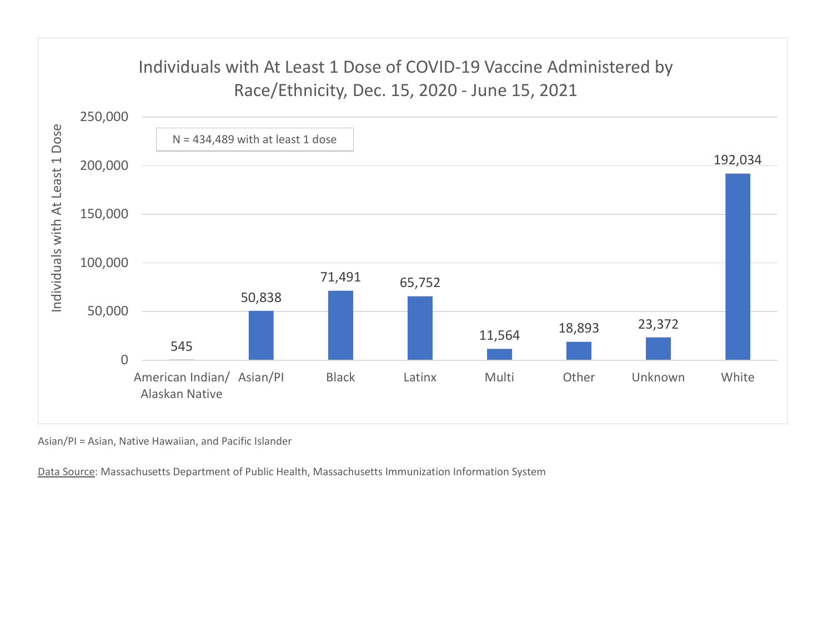

Asian/PI = Asian, Native Hawaiian, and Pacific Islander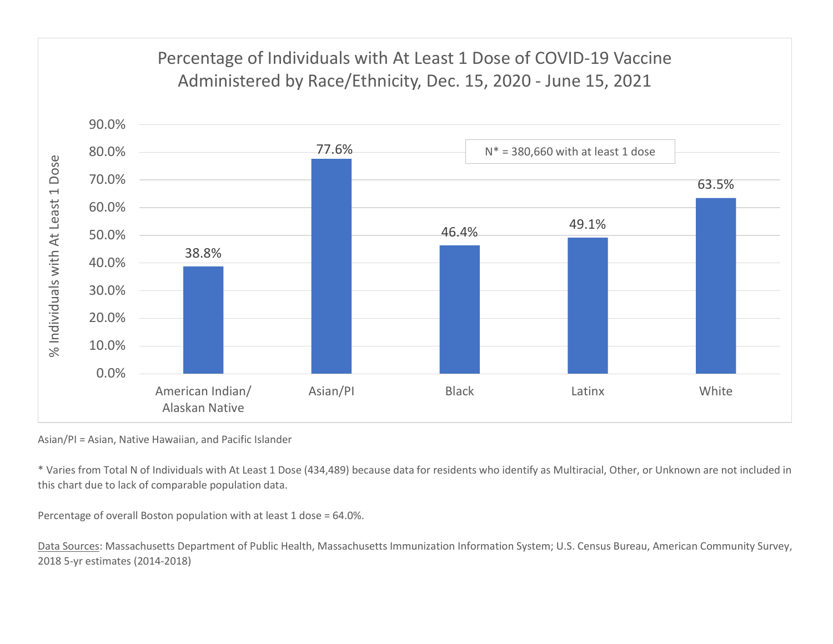

Asian/PI = Asian, Native Hawaiian, and Pacific Islander

\* Varies from Total N of Individuals with At Least 1 Dose (434,489) because data for residents who identify as Multiracial, Other, or Unknown are not included in this chart due to lack of comparable population data.

Percentage of overall Boston population with at least 1 dose = 64.0%.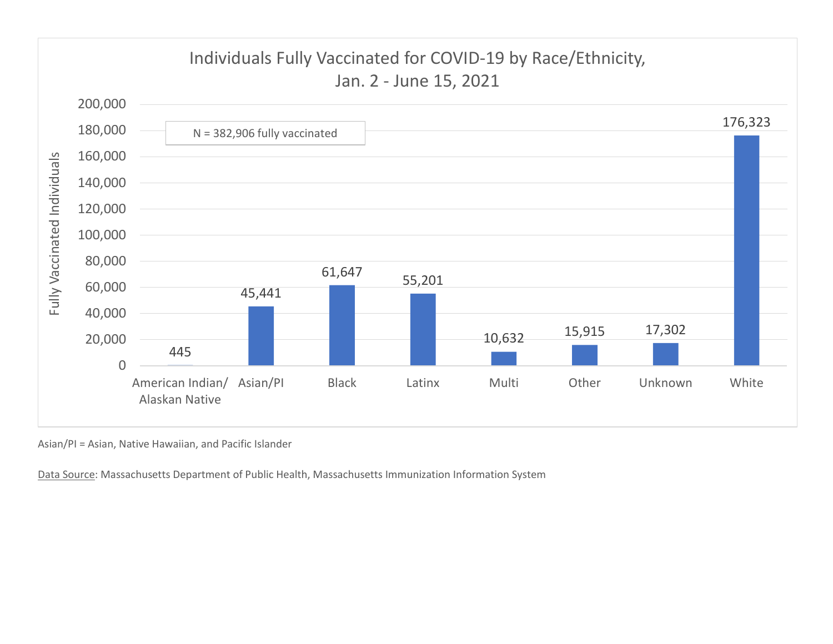

Asian/PI = Asian, Native Hawaiian, and Pacific Islander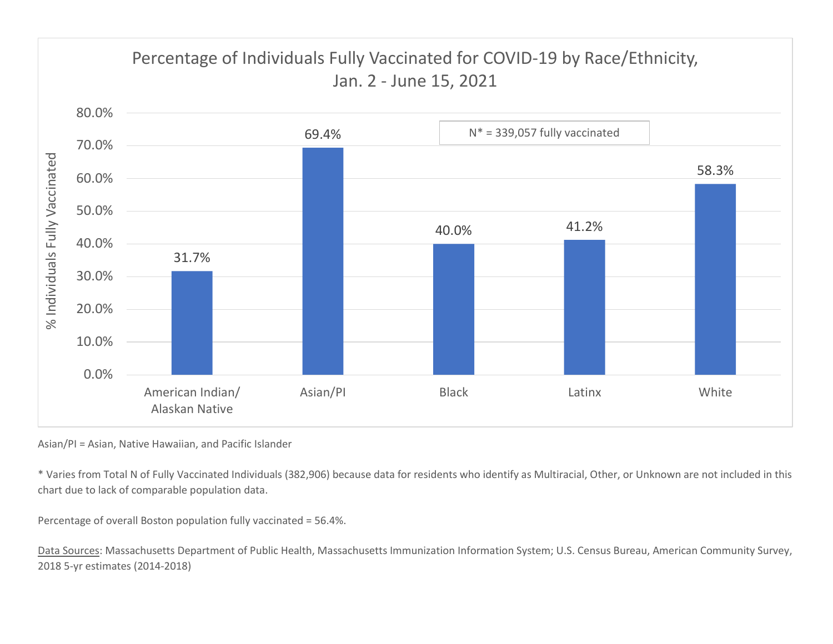

Asian/PI = Asian, Native Hawaiian, and Pacific Islander

\* Varies from Total N of Fully Vaccinated Individuals (382,906) because data for residents who identify as Multiracial, Other, or Unknown are not included in this chart due to lack of comparable population data.

Percentage of overall Boston population fully vaccinated = 56.4%.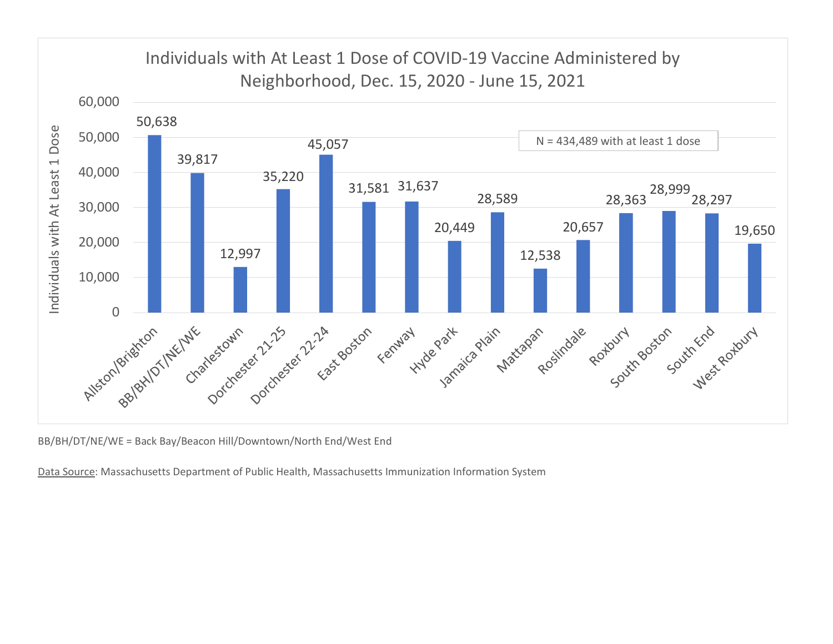

BB/BH/DT/NE/WE = Back Bay/Beacon Hill/Downtown/North End/West End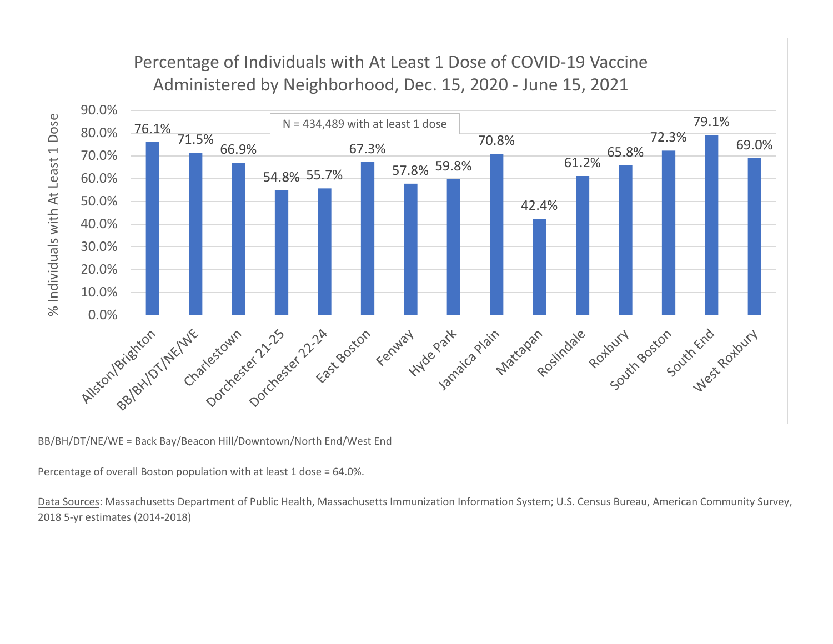

BB/BH/DT/NE/WE = Back Bay/Beacon Hill/Downtown/North End/West End

Percentage of overall Boston population with at least 1 dose = 64.0%.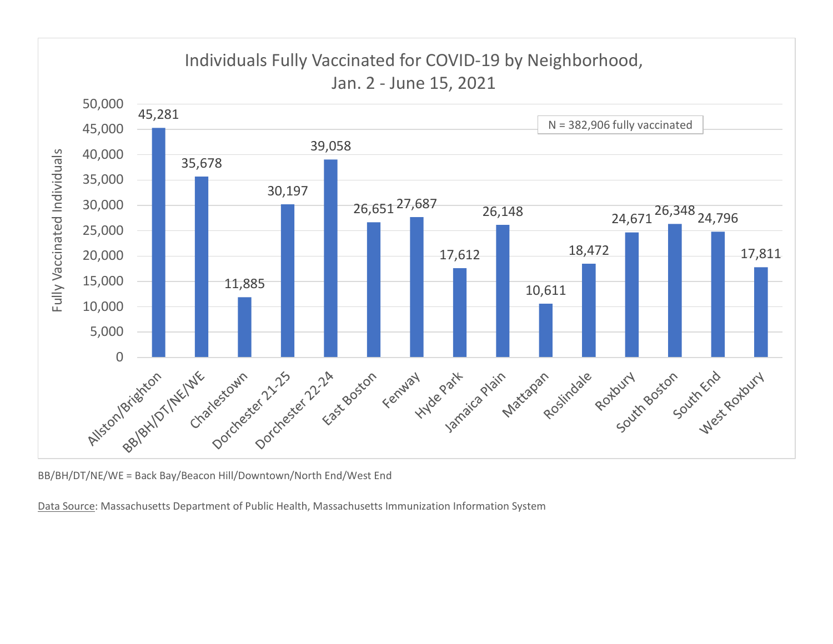

BB/BH/DT/NE/WE = Back Bay/Beacon Hill/Downtown/North End/West End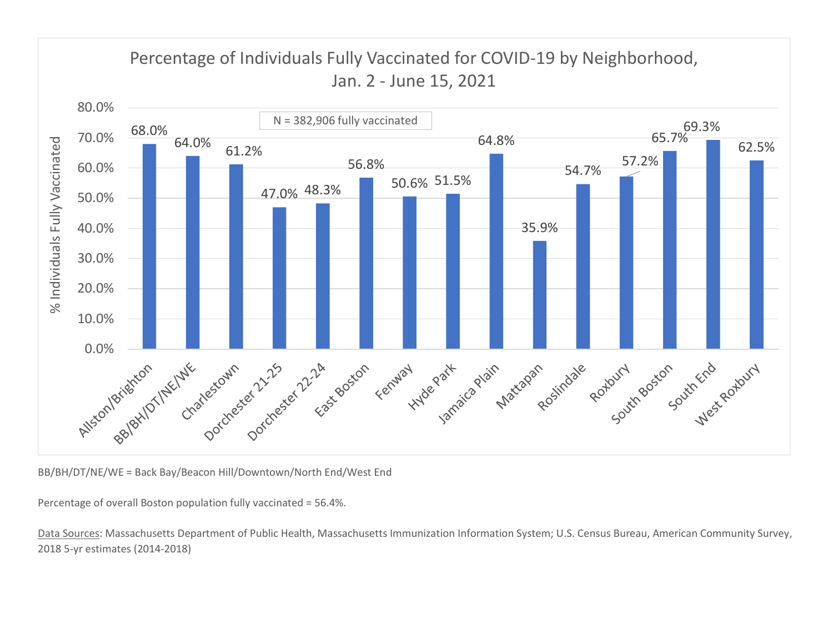

BB/BH/DT/NE/WE = Back Bay/Beacon Hill/Downtown/North End/West End

Percentage of overall Boston population fully vaccinated = 56.4%.